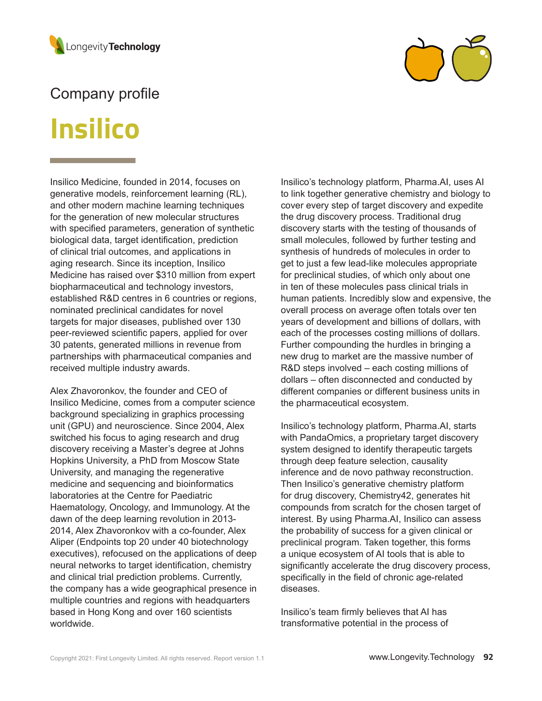



## Company profile

# **Insilico**

Insilico Medicine, founded in 2014, focuses on generative models, reinforcement learning (RL), and other modern machine learning techniques for the generation of new molecular structures with specified parameters, generation of synthetic biological data, target identification, prediction of clinical trial outcomes, and applications in aging research. Since its inception, Insilico Medicine has raised over \$310 million from expert biopharmaceutical and technology investors, established R&D centres in 6 countries or regions, nominated preclinical candidates for novel targets for major diseases, published over 130 peer-reviewed scientific papers, applied for over 30 patents, generated millions in revenue from partnerships with pharmaceutical companies and received multiple industry awards.

Alex Zhavoronkov, the founder and CEO of Insilico Medicine, comes from a computer science background specializing in graphics processing unit (GPU) and neuroscience. Since 2004, Alex switched his focus to aging research and drug discovery receiving a Master's degree at Johns Hopkins University, a PhD from Moscow State University, and managing the regenerative medicine and sequencing and bioinformatics laboratories at the Centre for Paediatric Haematology, Oncology, and Immunology. At the dawn of the deep learning revolution in 2013- 2014, Alex Zhavoronkov with a co-founder, Alex Aliper (Endpoints top 20 under 40 biotechnology executives), refocused on the applications of deep neural networks to target identification, chemistry and clinical trial prediction problems. Currently, the company has a wide geographical presence in multiple countries and regions with headquarters based in Hong Kong and over 160 scientists worldwide.

Insilico's technology platform, Pharma.AI, uses AI to link together generative chemistry and biology to cover every step of target discovery and expedite the drug discovery process. Traditional drug discovery starts with the testing of thousands of small molecules, followed by further testing and synthesis of hundreds of molecules in order to get to just a few lead-like molecules appropriate for preclinical studies, of which only about one in ten of these molecules pass clinical trials in human patients. Incredibly slow and expensive, the overall process on average often totals over ten years of development and billions of dollars, with each of the processes costing millions of dollars. Further compounding the hurdles in bringing a new drug to market are the massive number of R&D steps involved – each costing millions of dollars – often disconnected and conducted by different companies or different business units in the pharmaceutical ecosystem.

Insilico's technology platform, Pharma.AI, starts with PandaOmics, a proprietary target discovery system designed to identify therapeutic targets through deep feature selection, causality inference and de novo pathway reconstruction. Then Insilico's generative chemistry platform for drug discovery, Chemistry42, generates hit compounds from scratch for the chosen target of interest. By using Pharma.AI, Insilico can assess the probability of success for a given clinical or preclinical program. Taken together, this forms a unique ecosystem of AI tools that is able to significantly accelerate the drug discovery process, specifically in the field of chronic age-related diseases.

Insilico's team firmly believes that AI has transformative potential in the process of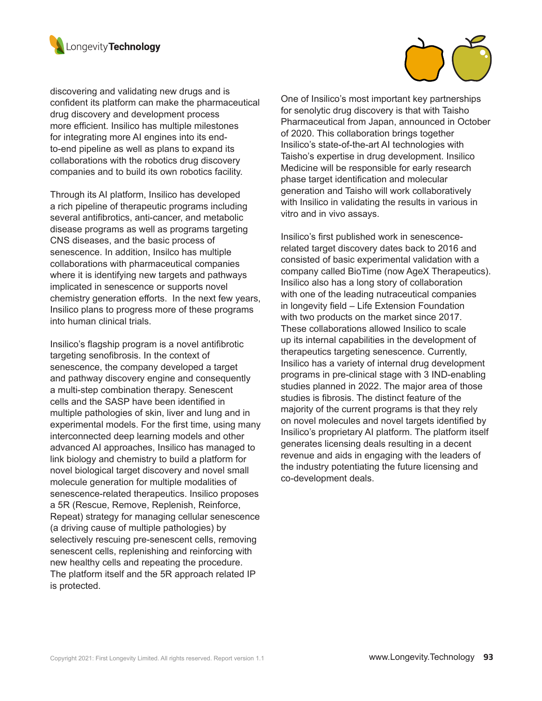

discovering and validating new drugs and is confident its platform can make the pharmaceutical drug discovery and development process more efficient. Insilico has multiple milestones for integrating more AI engines into its endto-end pipeline as well as plans to expand its collaborations with the robotics drug discovery companies and to build its own robotics facility.

Through its AI platform, Insilico has developed a rich pipeline of therapeutic programs including several antifibrotics, anti-cancer, and metabolic disease programs as well as programs targeting CNS diseases, and the basic process of senescence. In addition, Insilco has multiple collaborations with pharmaceutical companies where it is identifying new targets and pathways implicated in senescence or supports novel chemistry generation efforts. In the next few years, Insilico plans to progress more of these programs into human clinical trials.

Insilico's flagship program is a novel antifibrotic targeting senofibrosis. In the context of senescence, the company developed a target and pathway discovery engine and consequently a multi-step combination therapy. Senescent cells and the SASP have been identified in multiple pathologies of skin, liver and lung and in experimental models. For the first time, using many interconnected deep learning models and other advanced AI approaches, Insilico has managed to link biology and chemistry to build a platform for novel biological target discovery and novel small molecule generation for multiple modalities of senescence-related therapeutics. Insilico proposes a 5R (Rescue, Remove, Replenish, Reinforce, Repeat) strategy for managing cellular senescence (a driving cause of multiple pathologies) by selectively rescuing pre-senescent cells, removing senescent cells, replenishing and reinforcing with new healthy cells and repeating the procedure. The platform itself and the 5R approach related IP is protected.

One of Insilico's most important key partnerships for senolytic drug discovery is that with Taisho Pharmaceutical from Japan, announced in October of 2020. This collaboration brings together Insilico's state-of-the-art AI technologies with Taisho's expertise in drug development. Insilico Medicine will be responsible for early research phase target identification and molecular generation and Taisho will work collaboratively with Insilico in validating the results in various in vitro and in vivo assays.

Insilico's first published work in senescencerelated target discovery dates back to 2016 and consisted of basic experimental validation with a company called BioTime (now AgeX Therapeutics). Insilico also has a long story of collaboration with one of the leading nutraceutical companies in longevity field – Life Extension Foundation with two products on the market since 2017. These collaborations allowed Insilico to scale up its internal capabilities in the development of therapeutics targeting senescence. Currently, Insilico has a variety of internal drug development programs in pre-clinical stage with 3 IND-enabling studies planned in 2022. The major area of those studies is fibrosis. The distinct feature of the majority of the current programs is that they rely on novel molecules and novel targets identified by Insilico's proprietary AI platform. The platform itself generates licensing deals resulting in a decent revenue and aids in engaging with the leaders of the industry potentiating the future licensing and co-development deals.

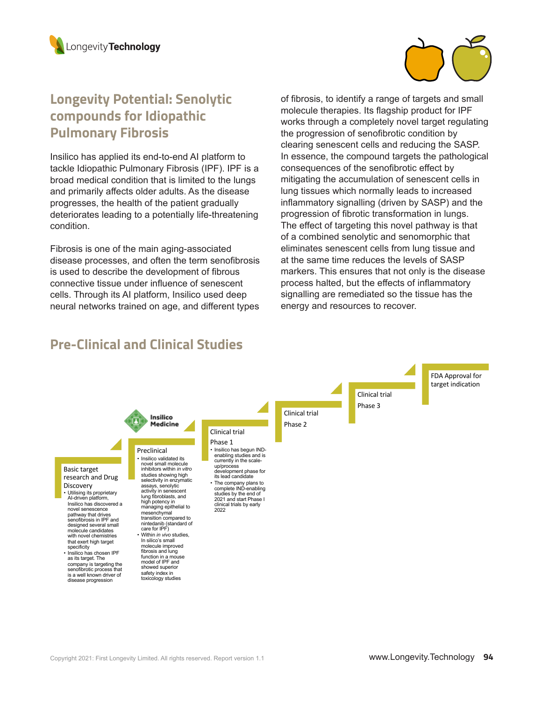



## **Longevity Potential: Senolytic compounds for Idiopathic Pulmonary Fibrosis**

Insilico has applied its end-to-end AI platform to tackle Idiopathic Pulmonary Fibrosis (IPF). IPF is a broad medical condition that is limited to the lungs and primarily affects older adults. As the disease progresses, the health of the patient gradually deteriorates leading to a potentially life-threatening condition.

Fibrosis is one of the main aging-associated disease processes, and often the term senofibrosis is used to describe the development of fibrous connective tissue under influence of senescent cells. Through its AI platform, Insilico used deep neural networks trained on age, and different types of fibrosis, to identify a range of targets and small molecule therapies. Its flagship product for IPF works through a completely novel target regulating the progression of senofibrotic condition by clearing senescent cells and reducing the SASP. In essence, the compound targets the pathological consequences of the senofibrotic effect by mitigating the accumulation of senescent cells in lung tissues which normally leads to increased inflammatory signalling (driven by SASP) and the progression of fibrotic transformation in lungs. The effect of targeting this novel pathway is that of a combined senolytic and senomorphic that eliminates senescent cells from lung tissue and at the same time reduces the levels of SASP markers. This ensures that not only is the disease process halted, but the effects of inflammatory signalling are remediated so the tissue has the energy and resources to recover.

## **Pre-Clinical and Clinical Studies**

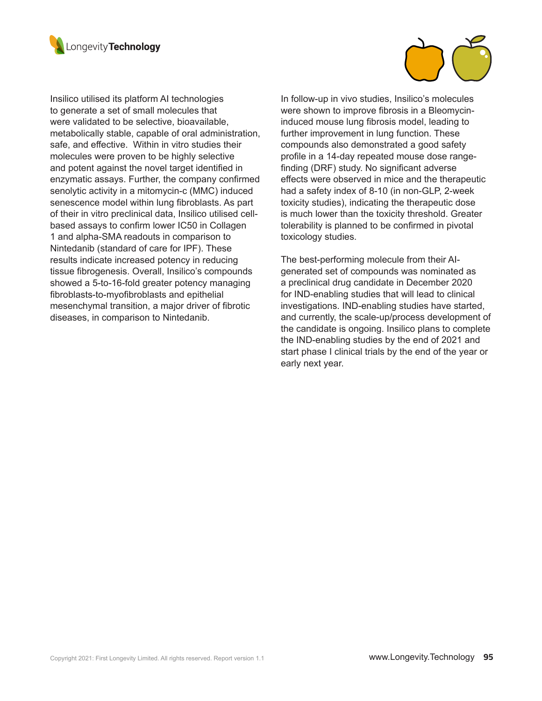



Insilico utilised its platform AI technologies to generate a set of small molecules that were validated to be selective, bioavailable, metabolically stable, capable of oral administration, safe, and effective. Within in vitro studies their molecules were proven to be highly selective and potent against the novel target identified in enzymatic assays. Further, the company confirmed senolytic activity in a mitomycin-c (MMC) induced senescence model within lung fibroblasts. As part of their in vitro preclinical data, Insilico utilised cellbased assays to confirm lower IC50 in Collagen 1 and alpha-SMA readouts in comparison to Nintedanib (standard of care for IPF). These results indicate increased potency in reducing tissue fibrogenesis. Overall, Insilico's compounds showed a 5-to-16-fold greater potency managing fibroblasts-to-myofibroblasts and epithelial mesenchymal transition, a major driver of fibrotic diseases, in comparison to Nintedanib.

In follow-up in vivo studies, Insilico's molecules were shown to improve fibrosis in a Bleomycininduced mouse lung fibrosis model, leading to further improvement in lung function. These compounds also demonstrated a good safety profile in a 14-day repeated mouse dose rangefinding (DRF) study. No significant adverse effects were observed in mice and the therapeutic had a safety index of 8-10 (in non-GLP, 2-week toxicity studies), indicating the therapeutic dose is much lower than the toxicity threshold. Greater tolerability is planned to be confirmed in pivotal toxicology studies.

The best-performing molecule from their AIgenerated set of compounds was nominated as a preclinical drug candidate in December 2020 for IND-enabling studies that will lead to clinical investigations. IND-enabling studies have started, and currently, the scale-up/process development of the candidate is ongoing. Insilico plans to complete the IND-enabling studies by the end of 2021 and start phase I clinical trials by the end of the year or early next year.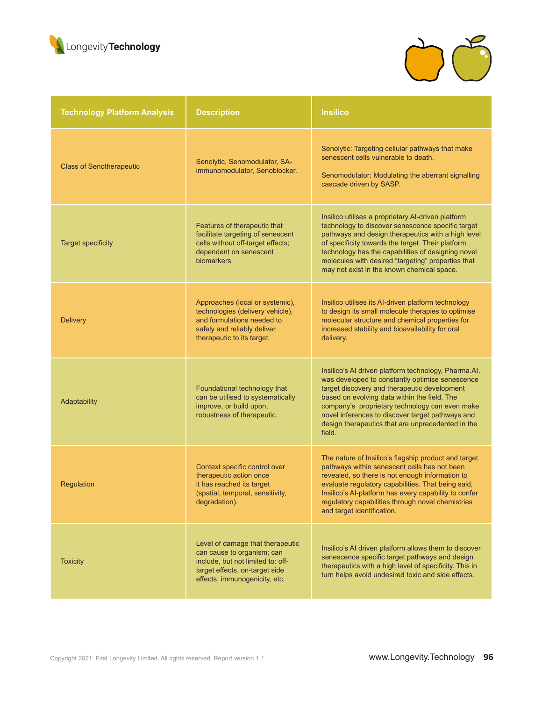



| <b>Technology Platform Analysis</b> | <b>Description</b>                                                                                                                                                     | <b>Insilico</b>                                                                                                                                                                                                                                                                                                                                                              |
|-------------------------------------|------------------------------------------------------------------------------------------------------------------------------------------------------------------------|------------------------------------------------------------------------------------------------------------------------------------------------------------------------------------------------------------------------------------------------------------------------------------------------------------------------------------------------------------------------------|
| <b>Class of Senotherapeutic</b>     | Senolytic, Senomodulator, SA-<br>immunomodulator, Senoblocker.                                                                                                         | Senolytic: Targeting cellular pathways that make<br>senescent cells vulnerable to death.<br>Senomodulator: Modulating the aberrant signalling<br>cascade driven by SASP.                                                                                                                                                                                                     |
| <b>Target specificity</b>           | Features of therapeutic that<br>facilitate targeting of senescent<br>cells without off-target effects;<br>dependent on senescent<br>biomarkers                         | Insilico utilises a proprietary AI-driven platform<br>technology to discover senescence specific target<br>pathways and design therapeutics with a high level<br>of specificity towards the target. Their platform<br>technology has the capabilities of designing novel<br>molecules with desired "targeting" properties that<br>may not exist in the known chemical space. |
| <b>Delivery</b>                     | Approaches (local or systemic),<br>technologies (delivery vehicle),<br>and formulations needed to<br>safely and reliably deliver<br>therapeutic to its target.         | Insilico utilises its AI-driven platform technology<br>to design its small molecule therapies to optimise<br>molecular structure and chemical properties for<br>increased stability and bioavailability for oral<br>delivery.                                                                                                                                                |
| Adaptability                        | Foundational technology that<br>can be utilised to systematically<br>improve, or build upon,<br>robustness of therapeutic.                                             | Insilico's AI driven platform technology, Pharma.AI,<br>was developed to constantly optimise senescence<br>target discovery and therapeutic development<br>based on evolving data within the field. The<br>company's proprietary technology can even make<br>novel inferences to discover target pathways and<br>design therapeutics that are unprecedented in the<br>field. |
| Regulation                          | Context specific control over<br>therapeutic action once<br>it has reached its target<br>(spatial, temporal, sensitivity,<br>degradation).                             | The nature of Insilico's flagship product and target<br>pathways within senescent cells has not been<br>revealed, so there is not enough information to<br>evaluate regulatory capabilities. That being said,<br>Insilico's AI-platform has every capability to confer<br>regulatory capabilities through novel chemistries<br>and target identification.                    |
| <b>Toxicity</b>                     | Level of damage that therapeutic<br>can cause to organism; can<br>include, but not limited to: off-<br>target effects, on-target side<br>effects, immunogenicity, etc. | Insilico's AI driven platform allows them to discover<br>senescence specific target pathways and design<br>therapeutics with a high level of specificity. This in<br>turn helps avoid undesired toxic and side effects.                                                                                                                                                      |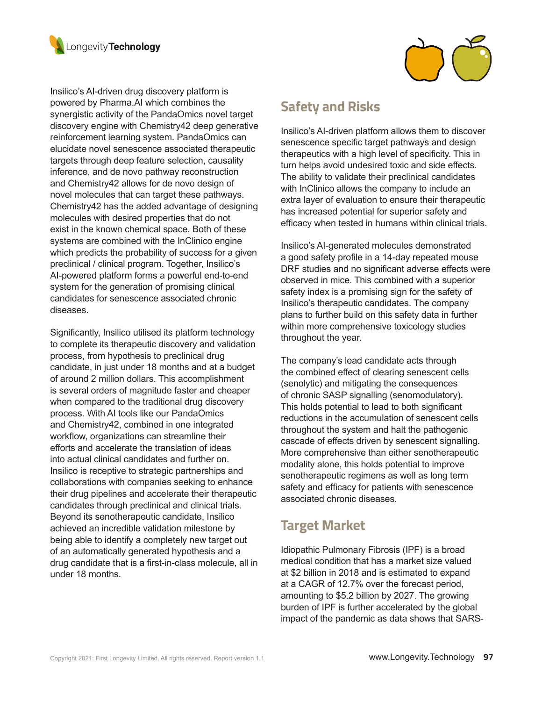



Insilico's AI-driven drug discovery platform is powered by Pharma.AI which combines the synergistic activity of the PandaOmics novel target discovery engine with Chemistry42 deep generative reinforcement learning system. PandaOmics can elucidate novel senescence associated therapeutic targets through deep feature selection, causality inference, and de novo pathway reconstruction and Chemistry42 allows for de novo design of novel molecules that can target these pathways. Chemistry42 has the added advantage of designing molecules with desired properties that do not exist in the known chemical space. Both of these systems are combined with the InClinico engine which predicts the probability of success for a given preclinical / clinical program. Together, Insilico's AI-powered platform forms a powerful end-to-end system for the generation of promising clinical candidates for senescence associated chronic diseases.

Significantly, Insilico utilised its platform technology to complete its therapeutic discovery and validation process, from hypothesis to preclinical drug candidate, in just under 18 months and at a budget of around 2 million dollars. This accomplishment is several orders of magnitude faster and cheaper when compared to the traditional drug discovery process. With AI tools like our PandaOmics and Chemistry42, combined in one integrated workflow, organizations can streamline their efforts and accelerate the translation of ideas into actual clinical candidates and further on. Insilico is receptive to strategic partnerships and collaborations with companies seeking to enhance their drug pipelines and accelerate their therapeutic candidates through preclinical and clinical trials. Beyond its senotherapeutic candidate, Insilico achieved an incredible validation milestone by being able to identify a completely new target out of an automatically generated hypothesis and a drug candidate that is a first-in-class molecule, all in under 18 months.

## **Safety and Risks**

Insilico's AI-driven platform allows them to discover senescence specific target pathways and design therapeutics with a high level of specificity. This in turn helps avoid undesired toxic and side effects. The ability to validate their preclinical candidates with InClinico allows the company to include an extra layer of evaluation to ensure their therapeutic has increased potential for superior safety and efficacy when tested in humans within clinical trials.

Insilico's AI-generated molecules demonstrated a good safety profile in a 14-day repeated mouse DRF studies and no significant adverse effects were observed in mice. This combined with a superior safety index is a promising sign for the safety of Insilico's therapeutic candidates. The company plans to further build on this safety data in further within more comprehensive toxicology studies throughout the year.

The company's lead candidate acts through the combined effect of clearing senescent cells (senolytic) and mitigating the consequences of chronic SASP signalling (senomodulatory). This holds potential to lead to both significant reductions in the accumulation of senescent cells throughout the system and halt the pathogenic cascade of effects driven by senescent signalling. More comprehensive than either senotherapeutic modality alone, this holds potential to improve senotherapeutic regimens as well as long term safety and efficacy for patients with senescence associated chronic diseases.

## **Target Market**

Idiopathic Pulmonary Fibrosis (IPF) is a broad medical condition that has a market size valued at \$2 billion in 2018 and is estimated to expand at a CAGR of 12.7% over the forecast period, amounting to \$5.2 billion by 2027. The growing burden of IPF is further accelerated by the global impact of the pandemic as data shows that SARS-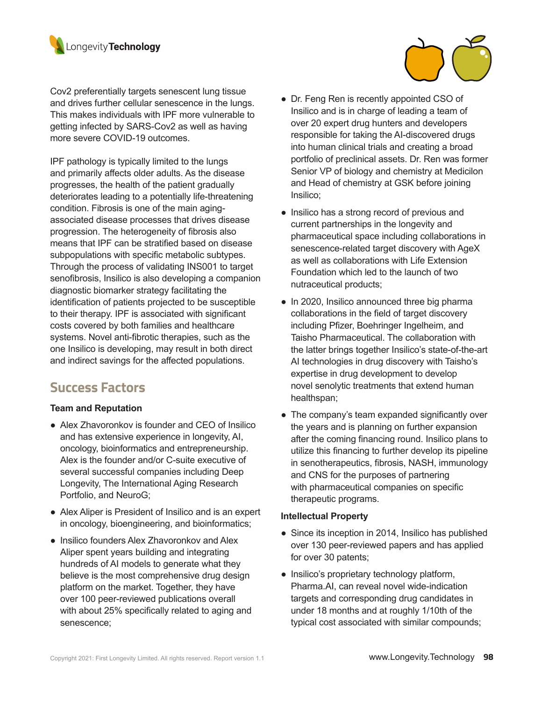

Cov2 preferentially targets senescent lung tissue and drives further cellular senescence in the lungs. This makes individuals with IPF more vulnerable to getting infected by SARS-Cov2 as well as having more severe COVID-19 outcomes.

IPF pathology is typically limited to the lungs and primarily affects older adults. As the disease progresses, the health of the patient gradually deteriorates leading to a potentially life-threatening condition. Fibrosis is one of the main agingassociated disease processes that drives disease progression. The heterogeneity of fibrosis also means that IPF can be stratified based on disease subpopulations with specific metabolic subtypes. Through the process of validating INS001 to target senofibrosis, Insilico is also developing a companion diagnostic biomarker strategy facilitating the identification of patients projected to be susceptible to their therapy. IPF is associated with significant costs covered by both families and healthcare systems. Novel anti-fibrotic therapies, such as the one Insilico is developing, may result in both direct and indirect savings for the affected populations.

## **Success Factors**

#### **Team and Reputation**

- Alex Zhavoronkov is founder and CEO of Insilico and has extensive experience in longevity, AI, oncology, bioinformatics and entrepreneurship. Alex is the founder and/or C-suite executive of several successful companies including Deep Longevity, The International Aging Research Portfolio, and NeuroG;
- Alex Aliper is President of Insilico and is an expert in oncology, bioengineering, and bioinformatics;
- Insilico founders Alex Zhavoronkov and Alex Aliper spent years building and integrating hundreds of AI models to generate what they believe is the most comprehensive drug design platform on the market. Together, they have over 100 peer-reviewed publications overall with about 25% specifically related to aging and senescence;



- Insilico has a strong record of previous and current partnerships in the longevity and pharmaceutical space including collaborations in senescence-related target discovery with AgeX as well as collaborations with Life Extension Foundation which led to the launch of two nutraceutical products;
- In 2020, Insilico announced three big pharma collaborations in the field of target discovery including Pfizer, Boehringer Ingelheim, and Taisho Pharmaceutical. The collaboration with the latter brings together Insilico's state-of-the-art AI technologies in drug discovery with Taisho's expertise in drug development to develop novel senolytic treatments that extend human healthspan;
- The company's team expanded significantly over the years and is planning on further expansion after the coming financing round. Insilico plans to utilize this financing to further develop its pipeline in senotherapeutics, fibrosis, NASH, immunology and CNS for the purposes of partnering with pharmaceutical companies on specific therapeutic programs.

#### **Intellectual Property**

- Since its inception in 2014, Insilico has published over 130 peer-reviewed papers and has applied for over 30 patents;
- Insilico's proprietary technology platform, Pharma.AI, can reveal novel wide-indication targets and corresponding drug candidates in under 18 months and at roughly 1/10th of the typical cost associated with similar compounds;

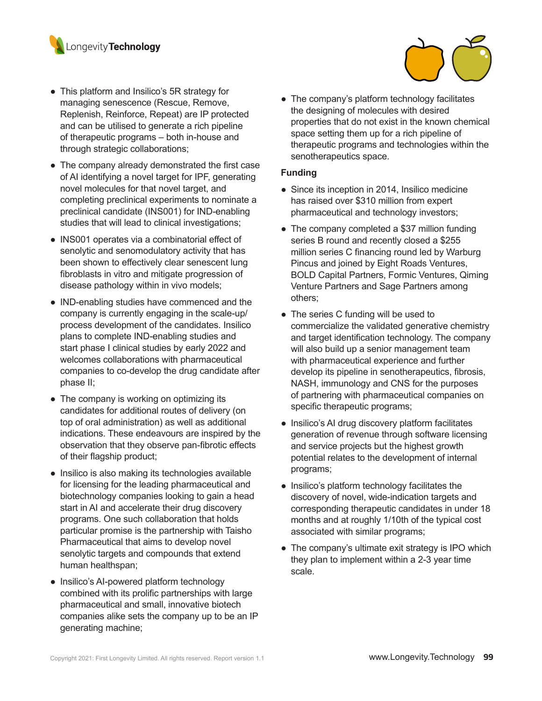

- This platform and Insilico's 5R strategy for managing senescence (Rescue, Remove, Replenish, Reinforce, Repeat) are IP protected and can be utilised to generate a rich pipeline of therapeutic programs – both in-house and through strategic collaborations;
- The company already demonstrated the first case of AI identifying a novel target for IPF, generating novel molecules for that novel target, and completing preclinical experiments to nominate a preclinical candidate (INS001) for IND-enabling studies that will lead to clinical investigations;
- INS001 operates via a combinatorial effect of senolytic and senomodulatory activity that has been shown to effectively clear senescent lung fibroblasts in vitro and mitigate progression of disease pathology within in vivo models;
- IND-enabling studies have commenced and the company is currently engaging in the scale-up/ process development of the candidates. Insilico plans to complete IND-enabling studies and start phase I clinical studies by early 2022 and welcomes collaborations with pharmaceutical companies to co-develop the drug candidate after phase II;
- The company is working on optimizing its candidates for additional routes of delivery (on top of oral administration) as well as additional indications. These endeavours are inspired by the observation that they observe pan-fibrotic effects of their flagship product;
- Insilico is also making its technologies available for licensing for the leading pharmaceutical and biotechnology companies looking to gain a head start in AI and accelerate their drug discovery programs. One such collaboration that holds particular promise is the partnership with Taisho Pharmaceutical that aims to develop novel senolytic targets and compounds that extend human healthspan;
- Insilico's AI-powered platform technology combined with its prolific partnerships with large pharmaceutical and small, innovative biotech companies alike sets the company up to be an IP generating machine;

• The company's platform technology facilitates the designing of molecules with desired properties that do not exist in the known chemical space setting them up for a rich pipeline of therapeutic programs and technologies within the senotherapeutics space.

#### **Funding**

- Since its inception in 2014, Insilico medicine has raised over \$310 million from expert pharmaceutical and technology investors;
- The company completed a \$37 million funding series B round and recently closed a \$255 million series C financing round led by Warburg Pincus and joined by Eight Roads Ventures, BOLD Capital Partners, Formic Ventures, Qiming Venture Partners and Sage Partners among others;
- The series C funding will be used to commercialize the validated generative chemistry and target identification technology. The company will also build up a senior management team with pharmaceutical experience and further develop its pipeline in senotherapeutics, fibrosis, NASH, immunology and CNS for the purposes of partnering with pharmaceutical companies on specific therapeutic programs;
- Insilico's AI drug discovery platform facilitates generation of revenue through software licensing and service projects but the highest growth potential relates to the development of internal programs;
- Insilico's platform technology facilitates the discovery of novel, wide-indication targets and corresponding therapeutic candidates in under 18 months and at roughly 1/10th of the typical cost associated with similar programs;
- The company's ultimate exit strategy is IPO which they plan to implement within a 2-3 year time scale.